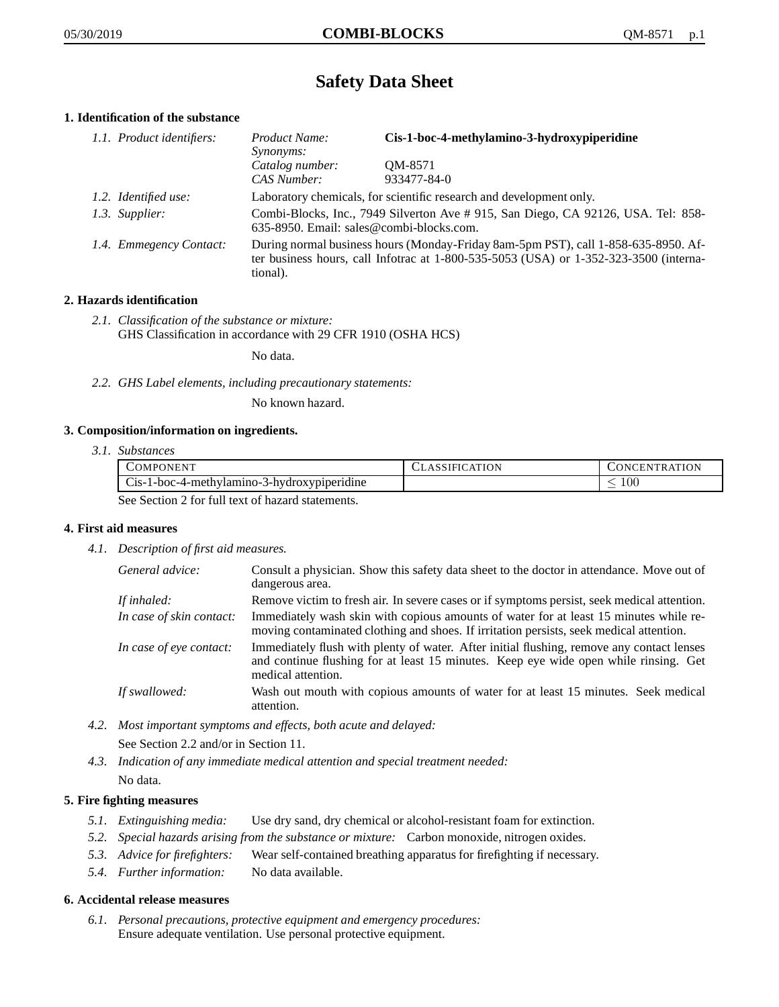# **Safety Data Sheet**

# **1. Identification of the substance**

| 1.1. Product identifiers: | Product Name:                                                                                                                                                                           | Cis-1-boc-4-methylamino-3-hydroxypiperidine |
|---------------------------|-----------------------------------------------------------------------------------------------------------------------------------------------------------------------------------------|---------------------------------------------|
|                           | Synonyms:                                                                                                                                                                               |                                             |
|                           | Catalog number:                                                                                                                                                                         | OM-8571                                     |
|                           | CAS Number:                                                                                                                                                                             | 933477-84-0                                 |
| 1.2. Identified use:      | Laboratory chemicals, for scientific research and development only.                                                                                                                     |                                             |
| 1.3. Supplier:            | Combi-Blocks, Inc., 7949 Silverton Ave # 915, San Diego, CA 92126, USA. Tel: 858-<br>635-8950. Email: sales@combi-blocks.com.                                                           |                                             |
| 1.4. Emmegency Contact:   | During normal business hours (Monday-Friday 8am-5pm PST), call 1-858-635-8950. Af-<br>ter business hours, call Infotrac at 1-800-535-5053 (USA) or 1-352-323-3500 (interna-<br>tional). |                                             |

# **2. Hazards identification**

*2.1. Classification of the substance or mixture:* GHS Classification in accordance with 29 CFR 1910 (OSHA HCS)

No data.

*2.2. GHS Label elements, including precautionary statements:*

No known hazard.

### **3. Composition/information on ingredients.**

*3.1. Substances*

| COMPONENT                                        | <b>CLASSIFICATION</b> | CONCENTRATION |
|--------------------------------------------------|-----------------------|---------------|
| Cis-1-boc-4-methylamino-3-hydroxypiperidine      |                       | 00            |
| See Section 2 for full text of hazard statements |                       |               |

See Section 2 for full text of hazard statements.

### **4. First aid measures**

*4.1. Description of first aid measures.*

| General advice:          | Consult a physician. Show this safety data sheet to the doctor in attendance. Move out of<br>dangerous area.                                                                                            |
|--------------------------|---------------------------------------------------------------------------------------------------------------------------------------------------------------------------------------------------------|
| If inhaled:              | Remove victim to fresh air. In severe cases or if symptoms persist, seek medical attention.                                                                                                             |
| In case of skin contact: | Immediately wash skin with copious amounts of water for at least 15 minutes while re-<br>moving contaminated clothing and shoes. If irritation persists, seek medical attention.                        |
| In case of eye contact:  | Immediately flush with plenty of water. After initial flushing, remove any contact lenses<br>and continue flushing for at least 15 minutes. Keep eye wide open while rinsing. Get<br>medical attention. |
| If swallowed:            | Wash out mouth with copious amounts of water for at least 15 minutes. Seek medical<br>attention.                                                                                                        |

*4.2. Most important symptoms and effects, both acute and delayed:*

See Section 2.2 and/or in Section 11.

*4.3. Indication of any immediate medical attention and special treatment needed:* No data.

# **5. Fire fighting measures**

- *5.1. Extinguishing media:* Use dry sand, dry chemical or alcohol-resistant foam for extinction.
- *5.2. Special hazards arising from the substance or mixture:* Carbon monoxide, nitrogen oxides.
- *5.3. Advice for firefighters:* Wear self-contained breathing apparatus for firefighting if necessary.
- *5.4. Further information:* No data available.

### **6. Accidental release measures**

*6.1. Personal precautions, protective equipment and emergency procedures:* Ensure adequate ventilation. Use personal protective equipment.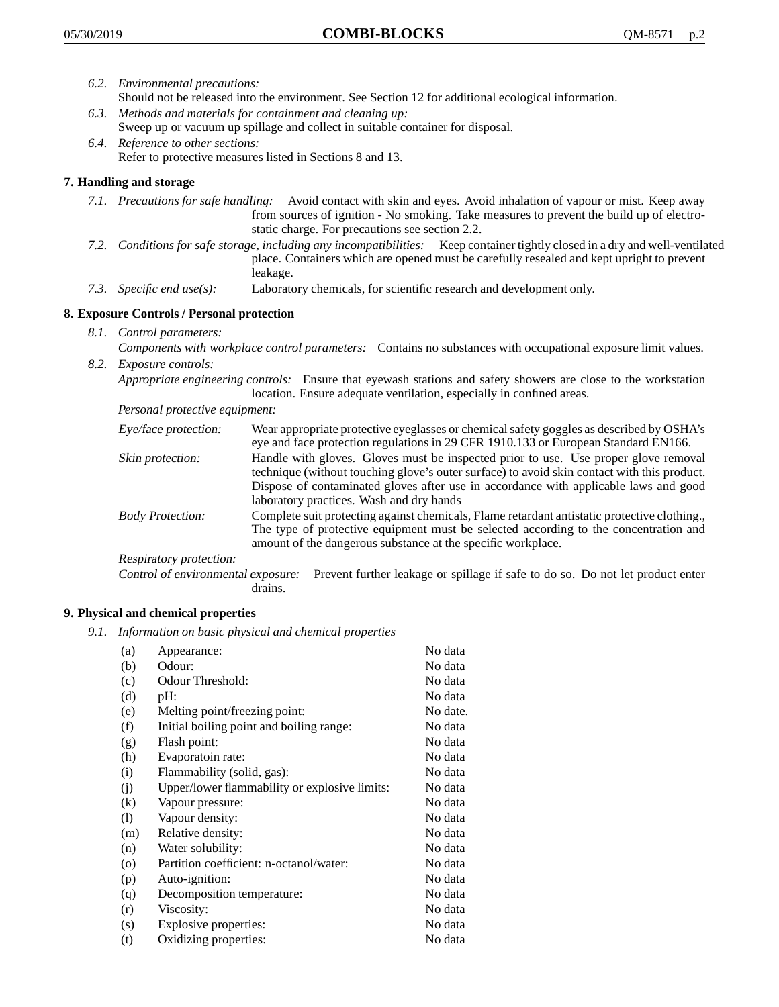- *6.2. Environmental precautions:* Should not be released into the environment. See Section 12 for additional ecological information.
- *6.3. Methods and materials for containment and cleaning up:* Sweep up or vacuum up spillage and collect in suitable container for disposal.
- *6.4. Reference to other sections:* Refer to protective measures listed in Sections 8 and 13.

# **7. Handling and storage**

- *7.1. Precautions for safe handling:* Avoid contact with skin and eyes. Avoid inhalation of vapour or mist. Keep away from sources of ignition - No smoking. Take measures to prevent the build up of electrostatic charge. For precautions see section 2.2.
- *7.2. Conditions for safe storage, including any incompatibilities:* Keep container tightly closed in a dry and well-ventilated place. Containers which are opened must be carefully resealed and kept upright to prevent leakage.
- *7.3. Specific end use(s):* Laboratory chemicals, for scientific research and development only.

# **8. Exposure Controls / Personal protection**

- *8.1. Control parameters:*
- *Components with workplace control parameters:* Contains no substances with occupational exposure limit values. *8.2. Exposure controls:*

*Appropriate engineering controls:* Ensure that eyewash stations and safety showers are close to the workstation location. Ensure adequate ventilation, especially in confined areas.

*Personal protective equipment:*

| Eye/face protection:    | Wear appropriate protective eyeglasses or chemical safety goggles as described by OSHA's<br>eye and face protection regulations in 29 CFR 1910.133 or European Standard EN166.                                                                                                                                         |
|-------------------------|------------------------------------------------------------------------------------------------------------------------------------------------------------------------------------------------------------------------------------------------------------------------------------------------------------------------|
| Skin protection:        | Handle with gloves. Gloves must be inspected prior to use. Use proper glove removal<br>technique (without touching glove's outer surface) to avoid skin contact with this product.<br>Dispose of contaminated gloves after use in accordance with applicable laws and good<br>laboratory practices. Wash and dry hands |
| <b>Body Protection:</b> | Complete suit protecting against chemicals, Flame retardant antistatic protective clothing.,<br>The type of protective equipment must be selected according to the concentration and<br>amount of the dangerous substance at the specific workplace.                                                                   |
| Respiratory protection: |                                                                                                                                                                                                                                                                                                                        |

Control of environmental exposure: Prevent further leakage or spillage if safe to do so. Do not let product enter drains.

### **9. Physical and chemical properties**

*9.1. Information on basic physical and chemical properties*

| (a)      | Appearance:                                   | No data  |
|----------|-----------------------------------------------|----------|
| (b)      | Odour:                                        | No data  |
| (c)      | Odour Threshold:                              | No data  |
| (d)      | pH:                                           | No data  |
| (e)      | Melting point/freezing point:                 | No date. |
| (f)      | Initial boiling point and boiling range:      | No data  |
| (g)      | Flash point:                                  | No data  |
| (h)      | Evaporatoin rate:                             | No data  |
| (i)      | Flammability (solid, gas):                    | No data  |
| (i)      | Upper/lower flammability or explosive limits: | No data  |
| $\rm(k)$ | Vapour pressure:                              | No data  |
| (1)      | Vapour density:                               | No data  |
| (m)      | Relative density:                             | No data  |
| (n)      | Water solubility:                             | No data  |
| $\circ$  | Partition coefficient: n-octanol/water:       | No data  |
| (p)      | Auto-ignition:                                | No data  |
| (q)      | Decomposition temperature:                    | No data  |
| (r)      | Viscosity:                                    | No data  |
| (s)      | Explosive properties:                         | No data  |
| (t)      | Oxidizing properties:                         | No data  |